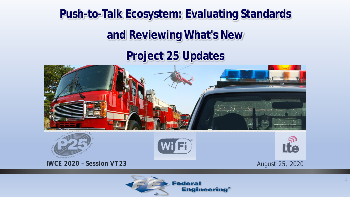# **Push-to-Talk Ecosystem: Evaluating Standards**

# **and Reviewing What's New**

# **Project 25 Updates**





1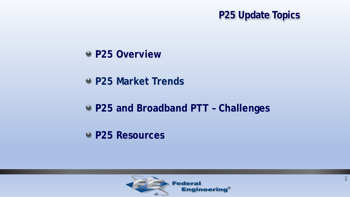

- **P25 Overview**
- **P25 Market Trends**
- **P25 and Broadband PTT – Challenges**
- **P25 Resources**

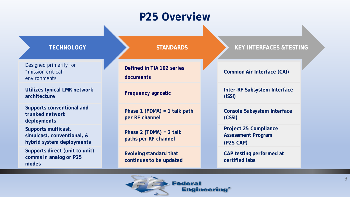## **P25 Overview**

Designed primarily for "mission critical" environments

**Utilizes typical LMR network architecture**

**Supports conventional and trunked network deployments**

**Supports multicast, simulcast, conventional, & hybrid system deployments**

**Supports direct (unit to unit) comms in analog or P25 modes**

**Defined in TIA 102 series documents**

**Frequency agnostic**

**Phase 1 (FDMA) = 1 talk path per RF channel**

**Phase 2 (TDMA) = 2 talk paths per RF channel**

**Evolving standard that continues to be updated**

#### **TECHNOLOGY STANDARDS KEY INTERFACES &TESTING**

#### **Common Air Interface (CAI)**

**Inter-RF Subsystem Interface (ISSI)**

**Console Subsystem Interface (CSSI)**

**Project 25 Compliance Assessment Program (P25 CAP)** 

**CAP testing performed at certified labs**

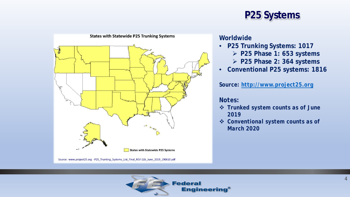

### **P25 Systems**

### **Worldwide**

- **P25 Trunking Systems: 1017** 
	- **P25 Phase 1: 653 systems**
	- **P25 Phase 2: 364 systems**
- **Conventional P25 systems: 1816**

*Source: [http://www.project25.org](http://www.project25.org/)*

### *Notes:*

- *Trunked system counts as of June 2019*
- *Conventional system counts as of March 2020*

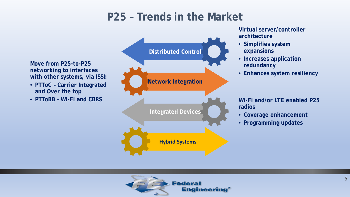## **P25 – Trends in the Market**

**Move from P25-to-P25 networking to interfaces with other systems, via ISSI:**

- **PTToC – Carrier Integrated and Over the top**
- **PTToBB – Wi-Fi and CBRS**



**Virtual server/controller architecture**

- **Simplifies system expansions**
- **Increases application redundancy**
- **Enhances system resiliency**

**Wi-Fi and/or LTE enabled P25 radios**

- **Coverage enhancement**
- **Programming updates**

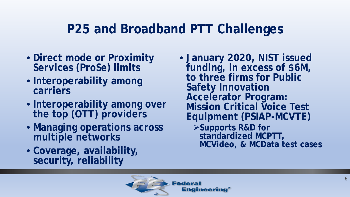# **P25 and Broadband PTT Challenges**

- **Direct mode or Proximity Services (ProSe) limits**
- **Interoperability among carriers**
- **Interoperability among over the top (OTT) providers**
- **Managing operations across multiple networks**
- **Coverage, availability, security, reliability**

• **January 2020, NIST issued funding, in excess of \$6M, to three firms for Public Safety Innovation Accelerator Program: Mission Critical Voice Test Equipment (PSIAP-MCVTE) Supports R&D for standardized MCPTT, MCVideo, & MCData test cases**

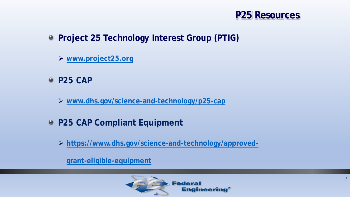

- **Project 25 Technology Interest Group (PTIG)**
	- **[www.project25.org](http://www.project25.org/)**
- **P25 CAP**
	- **[www.dhs.gov/science-and-technology/p25-cap](http://www.dhs.gov/science-and-technology/p25-cap)**
- **P25 CAP Compliant Equipment**
	- **[https://www.dhs.gov/science-and-technology/approved-](https://www.dhs.gov/science-and-technology/approved-grant-eligible-equipment)**

**grant-eligible-equipment**